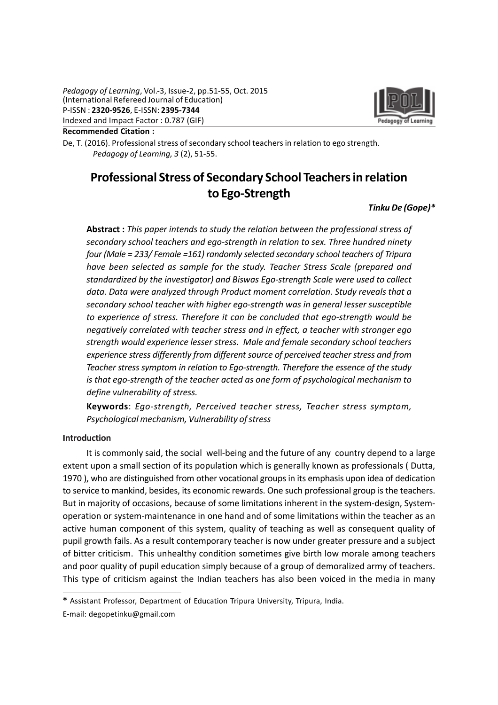

Recommended Citation :

De, T. (2016). Professional stress of secondary school teachers in relation to ego strength. Pedagogy of Learning, 3 (2), 51-55.

# Professional Stress of Secondary School Teachers in relation to Ego-Strength

# Tinku De (Gope)\*

Abstract : This paper intends to study the relation between the professional stress of secondary school teachers and ego-strength in relation to sex. Three hundred ninety four (Male = 233/ Female =161) randomly selected secondary school teachers of Tripura have been selected as sample for the study. Teacher Stress Scale (prepared and standardized by the investigator) and Biswas Ego-strength Scale were used to collect data. Data were analyzed through Product moment correlation. Study reveals that a secondary school teacher with higher ego-strength was in general lesser susceptible to experience of stress. Therefore it can be concluded that ego-strength would be negatively correlated with teacher stress and in effect, a teacher with stronger ego strength would experience lesser stress. Male and female secondary school teachers experience stress differently from different source of perceived teacher stress and from Teacher stress symptom in relation to Ego-strength. Therefore the essence of the study is that ego-strength of the teacher acted as one form of psychological mechanism to define vulnerability of stress.

Keywords: Ego-strength, Perceived teacher stress, Teacher stress symptom, Psychological mechanism, Vulnerability of stress

#### Introduction

It is commonly said, the social well-being and the future of any country depend to a large extent upon a small section of its population which is generally known as professionals ( Dutta, 1970 ), who are distinguished from other vocational groups in its emphasis upon idea of dedication to service to mankind, besides, its economic rewards. One such professional group is the teachers. But in majority of occasions, because of some limitations inherent in the system-design, Systemoperation or system-maintenance in one hand and of some limitations within the teacher as an active human component of this system, quality of teaching as well as consequent quality of pupil growth fails. As a result contemporary teacher is now under greater pressure and a subject of bitter criticism. This unhealthy condition sometimes give birth low morale among teachers and poor quality of pupil education simply because of a group of demoralized army of teachers. This type of criticism against the Indian teachers has also been voiced in the media in many

<sup>\*</sup> Assistant Professor, Department of Education Tripura University, Tripura, India.

E-mail: degopetinku@gmail.com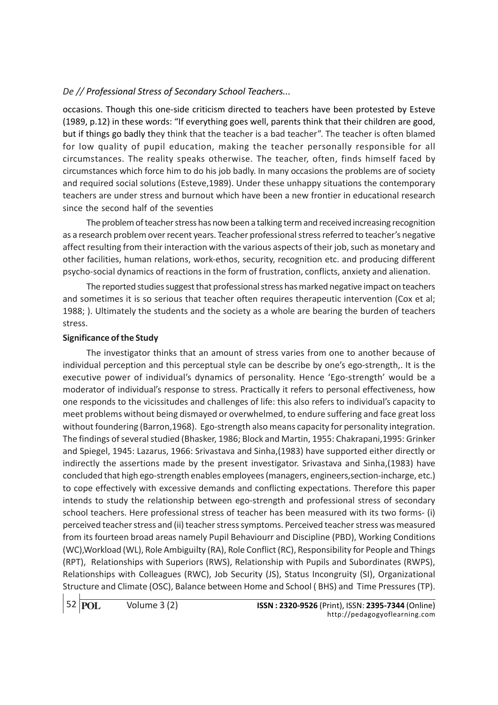occasions. Though this one-side criticism directed to teachers have been protested by Esteve (1989, p.12) in these words: "If everything goes well, parents think that their children are good, but if things go badly they think that the teacher is a bad teacher". The teacher is often blamed for low quality of pupil education, making the teacher personally responsible for all circumstances. The reality speaks otherwise. The teacher, often, finds himself faced by circumstances which force him to do his job badly. In many occasions the problems are of society and required social solutions (Esteve,1989). Under these unhappy situations the contemporary teachers are under stress and burnout which have been a new frontier in educational research since the second half of the seventies

The problem of teacher stress has now been a talking term and received increasing recognition as a research problem over recent years. Teacher professional stress referred to teacher's negative affect resulting from their interaction with the various aspects of their job, such as monetary and other facilities, human relations, work-ethos, security, recognition etc. and producing different psycho-social dynamics of reactions in the form of frustration, conflicts, anxiety and alienation.

The reported studies suggest that professional stress has marked negative impact on teachers and sometimes it is so serious that teacher often requires therapeutic intervention (Cox et al; 1988; ). Ultimately the students and the society as a whole are bearing the burden of teachers stress.

#### Significance of the Study

The investigator thinks that an amount of stress varies from one to another because of individual perception and this perceptual style can be describe by one's ego-strength,. It is the executive power of individual's dynamics of personality. Hence 'Ego-strength' would be a moderator of individual's response to stress. Practically it refers to personal effectiveness, how one responds to the vicissitudes and challenges of life: this also refers to individual's capacity to meet problems without being dismayed or overwhelmed, to endure suffering and face great loss without foundering (Barron,1968). Ego-strength also means capacity for personality integration. The findings of several studied (Bhasker, 1986; Block and Martin, 1955: Chakrapani,1995: Grinker and Spiegel, 1945: Lazarus, 1966: Srivastava and Sinha,(1983) have supported either directly or indirectly the assertions made by the present investigator. Srivastava and Sinha,(1983) have concluded that high ego-strength enables employees (managers, engineers,section-incharge, etc.) to cope effectively with excessive demands and conflicting expectations. Therefore this paper intends to study the relationship between ego-strength and professional stress of secondary school teachers. Here professional stress of teacher has been measured with its two forms- (i) perceived teacher stress and (ii) teacher stress symptoms. Perceived teacher stress was measured from its fourteen broad areas namely Pupil Behaviourr and Discipline (PBD), Working Conditions (WC),Workload (WL), Role Ambiguilty (RA), Role Conflict (RC), Responsibility for People and Things (RPT), Relationships with Superiors (RWS), Relationship with Pupils and Subordinates (RWPS), Relationships with Colleagues (RWC), Job Security (JS), Status Incongruity (SI), Organizational Structure and Climate (OSC), Balance between Home and School ( BHS) and Time Pressures (TP).

52 **POL**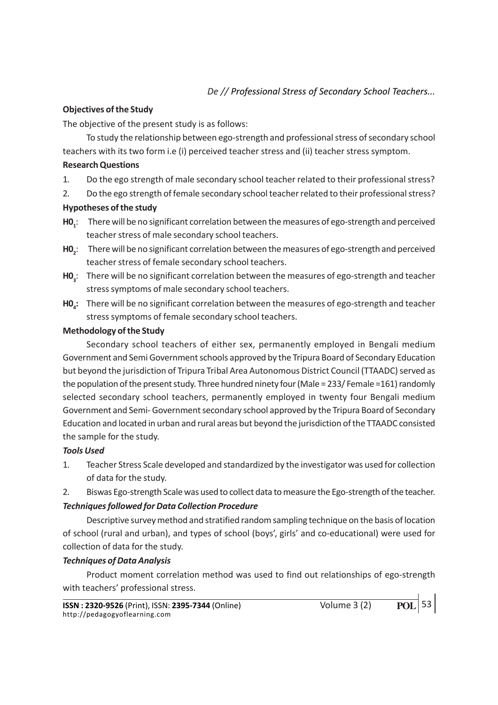#### Objectives of the Study

The objective of the present study is as follows:

To study the relationship between ego-strength and professional stress of secondary school teachers with its two form i.e (i) perceived teacher stress and (ii) teacher stress symptom.

#### Research Questions

- 1. Do the ego strength of male secondary school teacher related to their professional stress?
- 2. Do the ego strength of female secondary school teacher related to their professional stress?

# Hypotheses of the study

- $H0<sub>1</sub>$ : There will be no significant correlation between the measures of ego-strength and perceived teacher stress of male secondary school teachers.
- $HO<sub>2</sub>$ : There will be no significant correlation between the measures of ego-strength and perceived teacher stress of female secondary school teachers.
- $H0_{3}$ : There will be no significant correlation between the measures of ego-strength and teacher stress symptoms of male secondary school teachers.
- $HO<sub>4</sub>$ : There will be no significant correlation between the measures of ego-strength and teacher stress symptoms of female secondary school teachers.

#### Methodology of the Study

Secondary school teachers of either sex, permanently employed in Bengali medium Government and Semi Government schools approved by the Tripura Board of Secondary Education but beyond the jurisdiction of Tripura Tribal Area Autonomous District Council (TTAADC) served as the population of the present study. Three hundred ninety four (Male = 233/ Female =161) randomly selected secondary school teachers, permanently employed in twenty four Bengali medium Government and Semi- Government secondary school approved by the Tripura Board of Secondary Education and located in urban and rural areas but beyond the jurisdiction of the TTAADC consisted the sample for the study.

# Tools Used

- 1. Teacher Stress Scale developed and standardized by the investigator was used for collection of data for the study.
- 2. Biswas Ego-strength Scale was used to collect data to measure the Ego-strength of the teacher.

# Techniques followed for Data Collection Procedure

Descriptive survey method and stratified random sampling technique on the basis of location of school (rural and urban), and types of school (boys', girls' and co-educational) were used for collection of data for the study.

# Techniques of Data Analysis

Product moment correlation method was used to find out relationships of ego-strength with teachers' professional stress.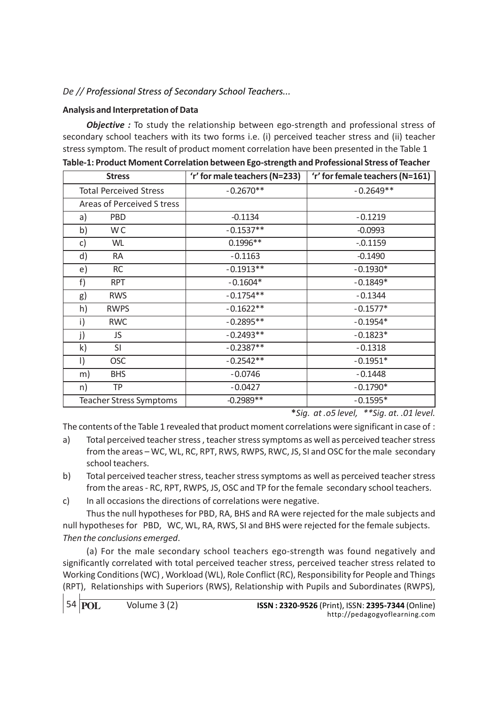## Analysis and Interpretation of Data

**Objective** : To study the relationship between ego-strength and professional stress of secondary school teachers with its two forms i.e. (i) perceived teacher stress and (ii) teacher stress symptom. The result of product moment correlation have been presented in the Table 1

| <b>Stress</b>                  | 'r' for male teachers (N=233) | 'r' for female teachers (N=161) |
|--------------------------------|-------------------------------|---------------------------------|
| <b>Total Perceived Stress</b>  | $-0.2670**$                   | $-0.2649**$                     |
| Areas of Perceived S tress     |                               |                                 |
| <b>PBD</b><br>a)               | $-0.1134$                     | $-0.1219$                       |
| W <sub>C</sub><br>b)           | $-0.1537**$                   | $-0.0993$                       |
| c)<br>WL                       | $0.1996**$                    | $-0.1159$                       |
| d)<br><b>RA</b>                | $-0.1163$                     | $-0.1490$                       |
| <b>RC</b><br>e)                | $-0.1913**$                   | $-0.1930*$                      |
| f)<br><b>RPT</b>               | $-0.1604*$                    | $-0.1849*$                      |
| <b>RWS</b><br>g)               | $-0.1754**$                   | $-0.1344$                       |
| h)<br><b>RWPS</b>              | $-0.1622**$                   | $-0.1577*$                      |
| <b>RWC</b><br>i)               | $-0.2895**$                   | $-0.1954*$                      |
| j)<br>JS                       | $-0.2493**$                   | $-0.1823*$                      |
| $\mathsf{k}$<br>SI             | $-0.2387**$                   | $-0.1318$                       |
| <b>OSC</b><br>$\vert$          | $-0.2542**$                   | $-0.1951*$                      |
| <b>BHS</b><br>m)               | $-0.0746$                     | $-0.1448$                       |
| TP<br>n)                       | $-0.0427$                     | $-0.1790*$                      |
| <b>Teacher Stress Symptoms</b> | $-0.2989**$                   | $-0.1595*$                      |

Table-1: Product Moment Correlation between Ego-strength and Professional Stress of Teacher

\*Sig. at .o5 level, \*\*Sig. at. .01 level.

The contents of the Table 1 revealed that product moment correlations were significant in case of :

- a) Total perceived teacher stress , teacher stress symptoms as well as perceived teacher stress from the areas – WC, WL, RC, RPT, RWS, RWPS, RWC, JS, SI and OSC for the male secondary school teachers.
- b) Total perceived teacher stress, teacher stress symptoms as well as perceived teacher stress from the areas - RC, RPT, RWPS, JS, OSC and TP for the female secondary school teachers.
- c) In all occasions the directions of correlations were negative.

Thus the null hypotheses for PBD, RA, BHS and RA were rejected for the male subjects and null hypotheses for PBD, WC, WL, RA, RWS, SI and BHS were rejected for the female subjects. Then the conclusions emerged.

(a) For the male secondary school teachers ego-strength was found negatively and significantly correlated with total perceived teacher stress, perceived teacher stress related to Working Conditions (WC) , Workload (WL), Role Conflict (RC), Responsibility for People and Things (RPT), Relationships with Superiors (RWS), Relationship with Pupils and Subordinates (RWPS),

54 **POL**